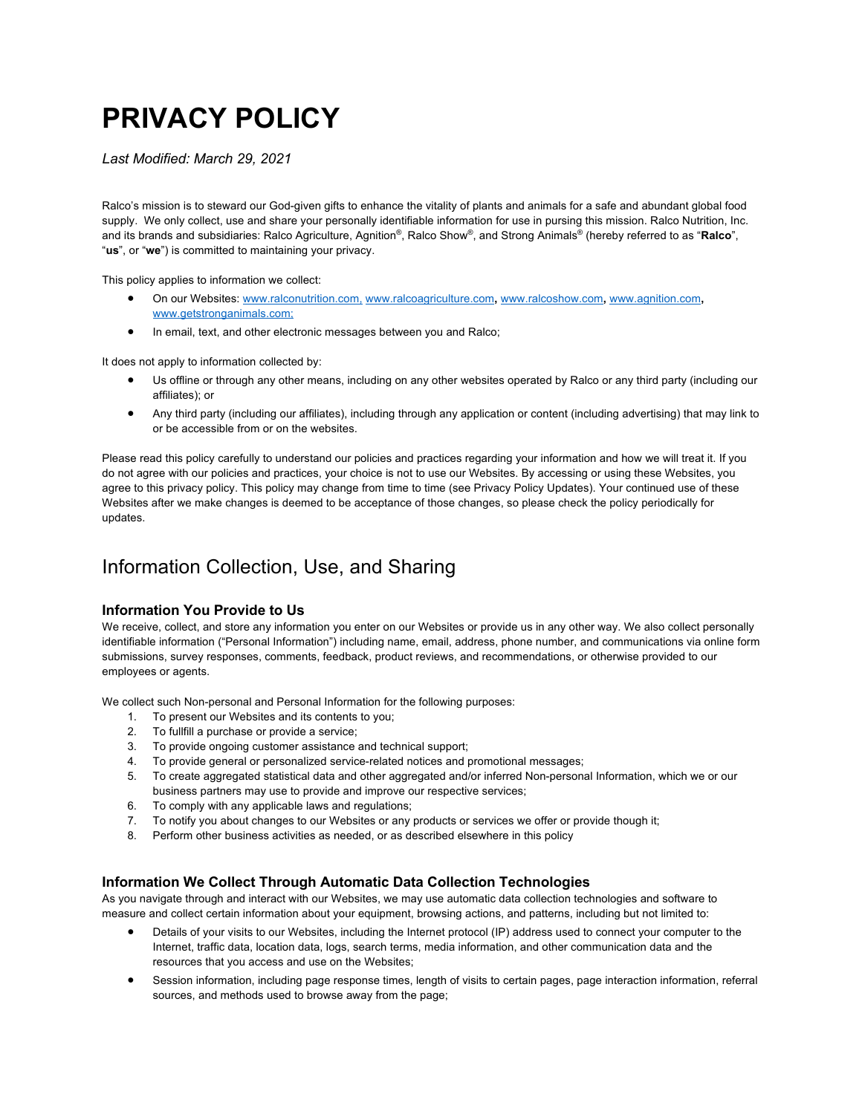# **PRIVACY POLICY**

*Last Modified: March 29, 2021*

Ralco's mission is to steward our God-given gifts to enhance the vitality of plants and animals for a safe and abundant global food supply. We only collect, use and share your personally identifiable information for use in pursing this mission. Ralco Nutrition, Inc. and its brands and subsidiaries: Ralco Agriculture, Agnition®, Ralco Show®, and Strong Animals® (hereby referred to as "**Ralco**", "**us**", or "**we**") is committed to maintaining your privacy.

This policy applies to information we collect:

- On our Websites: www.ralconutrition.com, www.ralcoagriculture.com**,** www.ralcoshow.com**,** www.agnition.com**,** www.getstronganimals.com;
- In email, text, and other electronic messages between you and Ralco;

It does not apply to information collected by:

- Us offline or through any other means, including on any other websites operated by Ralco or any third party (including our affiliates); or
- Any third party (including our affiliates), including through any application or content (including advertising) that may link to or be accessible from or on the websites.

Please read this policy carefully to understand our policies and practices regarding your information and how we will treat it. If you do not agree with our policies and practices, your choice is not to use our Websites. By accessing or using these Websites, you agree to this privacy policy. This policy may change from time to time (see Privacy Policy Updates). Your continued use of these Websites after we make changes is deemed to be acceptance of those changes, so please check the policy periodically for updates.

### Information Collection, Use, and Sharing

#### **Information You Provide to Us**

We receive, collect, and store any information you enter on our Websites or provide us in any other way. We also collect personally identifiable information ("Personal Information") including name, email, address, phone number, and communications via online form submissions, survey responses, comments, feedback, product reviews, and recommendations, or otherwise provided to our employees or agents.

We collect such Non-personal and Personal Information for the following purposes:

- 1. To present our Websites and its contents to you;
- 2. To fullfill a purchase or provide a service;
- 3. To provide ongoing customer assistance and technical support;
- 4. To provide general or personalized service-related notices and promotional messages;
- 5. To create aggregated statistical data and other aggregated and/or inferred Non-personal Information, which we or our business partners may use to provide and improve our respective services;
- 6. To comply with any applicable laws and regulations;
- 7. To notify you about changes to our Websites or any products or services we offer or provide though it;
- 8. Perform other business activities as needed, or as described elsewhere in this policy

#### **Information We Collect Through Automatic Data Collection Technologies**

As you navigate through and interact with our Websites, we may use automatic data collection technologies and software to measure and collect certain information about your equipment, browsing actions, and patterns, including but not limited to:

- Details of your visits to our Websites, including the Internet protocol (IP) address used to connect your computer to the Internet, traffic data, location data, logs, search terms, media information, and other communication data and the resources that you access and use on the Websites;
- Session information, including page response times, length of visits to certain pages, page interaction information, referral sources, and methods used to browse away from the page;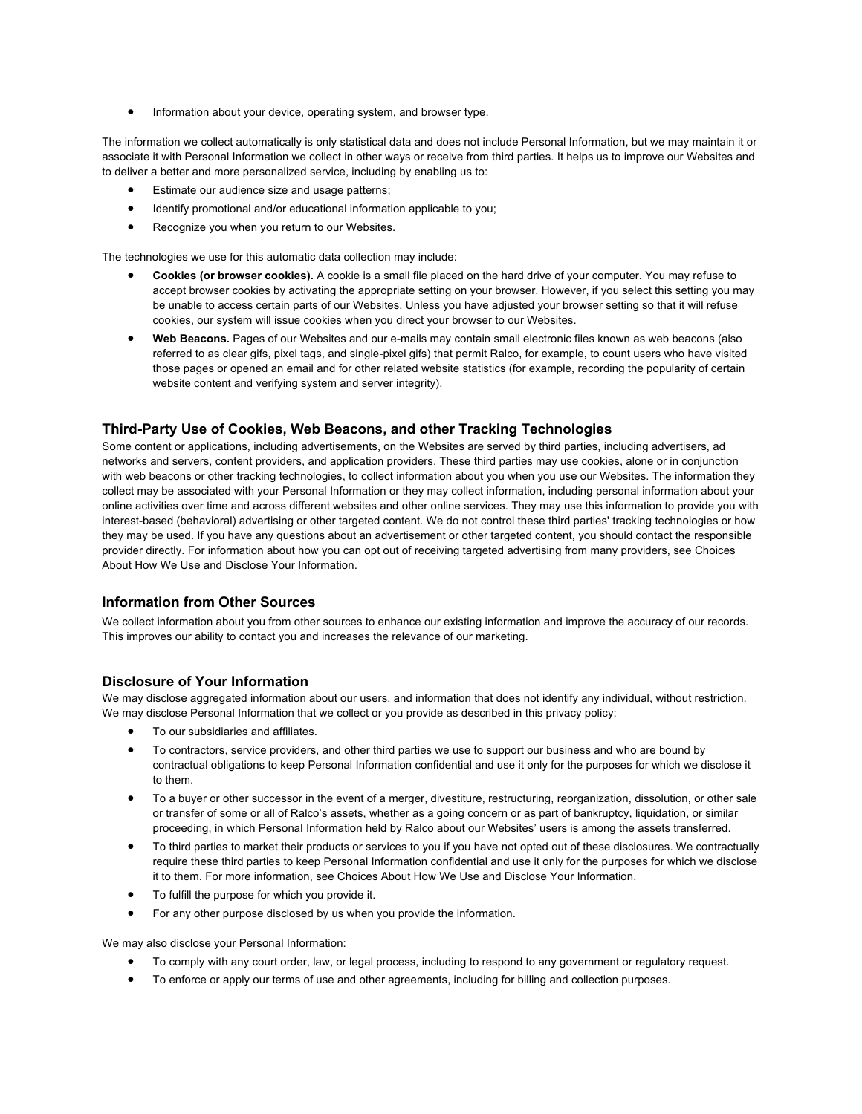• Information about your device, operating system, and browser type.

The information we collect automatically is only statistical data and does not include Personal Information, but we may maintain it or associate it with Personal Information we collect in other ways or receive from third parties. It helps us to improve our Websites and to deliver a better and more personalized service, including by enabling us to:

- Estimate our audience size and usage patterns:
- Identify promotional and/or educational information applicable to you;
- Recognize you when you return to our Websites.

The technologies we use for this automatic data collection may include:

- **Cookies (or browser cookies).** A cookie is a small file placed on the hard drive of your computer. You may refuse to accept browser cookies by activating the appropriate setting on your browser. However, if you select this setting you may be unable to access certain parts of our Websites. Unless you have adjusted your browser setting so that it will refuse cookies, our system will issue cookies when you direct your browser to our Websites.
- **Web Beacons.** Pages of our Websites and our e-mails may contain small electronic files known as web beacons (also referred to as clear gifs, pixel tags, and single-pixel gifs) that permit Ralco, for example, to count users who have visited those pages or opened an email and for other related website statistics (for example, recording the popularity of certain website content and verifying system and server integrity).

#### **Third-Party Use of Cookies, Web Beacons, and other Tracking Technologies**

Some content or applications, including advertisements, on the Websites are served by third parties, including advertisers, ad networks and servers, content providers, and application providers. These third parties may use cookies, alone or in conjunction with web beacons or other tracking technologies, to collect information about you when you use our Websites. The information they collect may be associated with your Personal Information or they may collect information, including personal information about your online activities over time and across different websites and other online services. They may use this information to provide you with interest-based (behavioral) advertising or other targeted content. We do not control these third parties' tracking technologies or how they may be used. If you have any questions about an advertisement or other targeted content, you should contact the responsible provider directly. For information about how you can opt out of receiving targeted advertising from many providers, see Choices About How We Use and Disclose Your Information.

#### **Information from Other Sources**

We collect information about you from other sources to enhance our existing information and improve the accuracy of our records. This improves our ability to contact you and increases the relevance of our marketing.

#### **Disclosure of Your Information**

We may disclose aggregated information about our users, and information that does not identify any individual, without restriction. We may disclose Personal Information that we collect or you provide as described in this privacy policy:

- To our subsidiaries and affiliates.
- To contractors, service providers, and other third parties we use to support our business and who are bound by contractual obligations to keep Personal Information confidential and use it only for the purposes for which we disclose it to them.
- To a buyer or other successor in the event of a merger, divestiture, restructuring, reorganization, dissolution, or other sale or transfer of some or all of Ralco's assets, whether as a going concern or as part of bankruptcy, liquidation, or similar proceeding, in which Personal Information held by Ralco about our Websites' users is among the assets transferred.
- To third parties to market their products or services to you if you have not opted out of these disclosures. We contractually require these third parties to keep Personal Information confidential and use it only for the purposes for which we disclose it to them. For more information, see Choices About How We Use and Disclose Your Information.
- To fulfill the purpose for which you provide it.
- For any other purpose disclosed by us when you provide the information.

We may also disclose your Personal Information:

- To comply with any court order, law, or legal process, including to respond to any government or regulatory request.
- To enforce or apply our terms of use and other agreements, including for billing and collection purposes.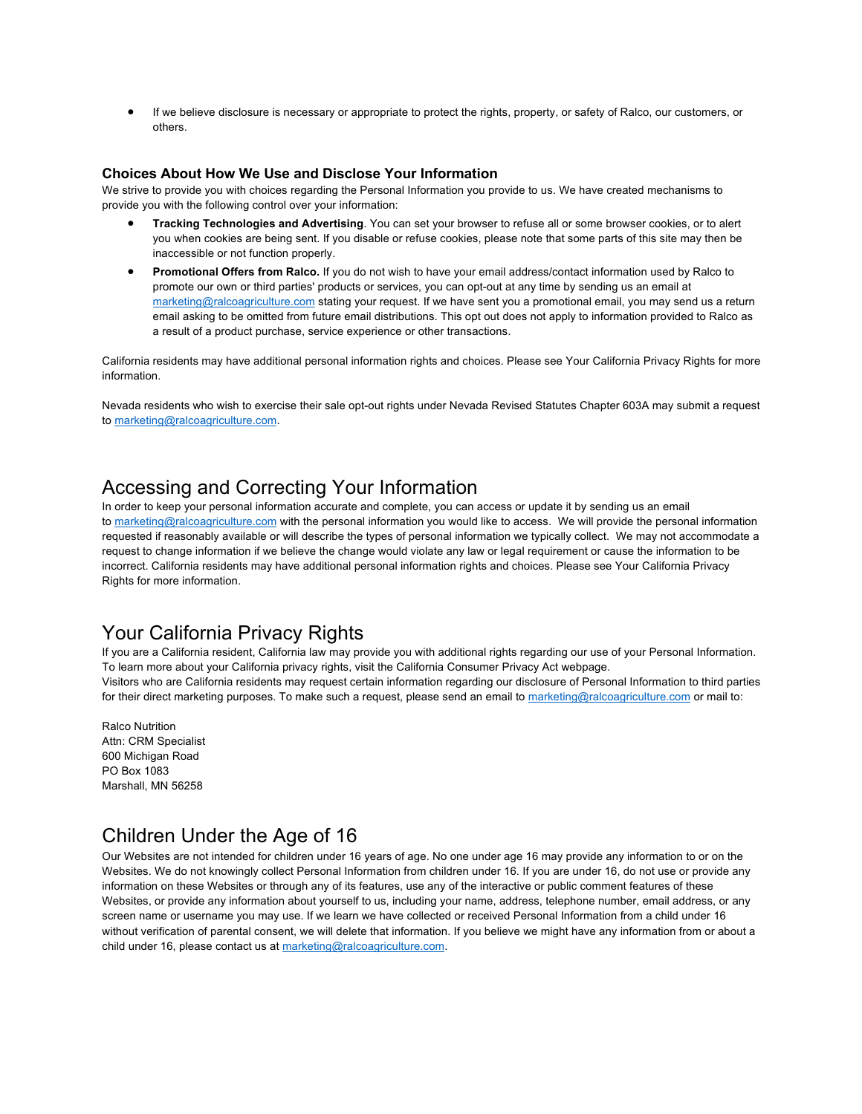• If we believe disclosure is necessary or appropriate to protect the rights, property, or safety of Ralco, our customers, or others.

#### **Choices About How We Use and Disclose Your Information**

We strive to provide you with choices regarding the Personal Information you provide to us. We have created mechanisms to provide you with the following control over your information:

- **Tracking Technologies and Advertising**. You can set your browser to refuse all or some browser cookies, or to alert you when cookies are being sent. If you disable or refuse cookies, please note that some parts of this site may then be inaccessible or not function properly.
- **Promotional Offers from Ralco.** If you do not wish to have your email address/contact information used by Ralco to promote our own or third parties' products or services, you can opt-out at any time by sending us an email at marketing@ralcoagriculture.com stating your request. If we have sent you a promotional email, you may send us a return email asking to be omitted from future email distributions. This opt out does not apply to information provided to Ralco as a result of a product purchase, service experience or other transactions.

California residents may have additional personal information rights and choices. Please see Your California Privacy Rights for more information.

Nevada residents who wish to exercise their sale opt-out rights under Nevada Revised Statutes Chapter 603A may submit a request to marketing@ralcoagriculture.com.

### Accessing and Correcting Your Information

In order to keep your personal information accurate and complete, you can access or update it by sending us an email to marketing@ralcoagriculture.com with the personal information you would like to access. We will provide the personal information requested if reasonably available or will describe the types of personal information we typically collect. We may not accommodate a request to change information if we believe the change would violate any law or legal requirement or cause the information to be incorrect. California residents may have additional personal information rights and choices. Please see Your California Privacy Rights for more information.

### Your California Privacy Rights

If you are a California resident, California law may provide you with additional rights regarding our use of your Personal Information. To learn more about your California privacy rights, visit the California Consumer Privacy Act webpage. Visitors who are California residents may request certain information regarding our disclosure of Personal Information to third parties for their direct marketing purposes. To make such a request, please send an email to marketing@ralcoagriculture.com or mail to:

Ralco Nutrition Attn: CRM Specialist 600 Michigan Road PO Box 1083 Marshall, MN 56258

### Children Under the Age of 16

Our Websites are not intended for children under 16 years of age. No one under age 16 may provide any information to or on the Websites. We do not knowingly collect Personal Information from children under 16. If you are under 16, do not use or provide any information on these Websites or through any of its features, use any of the interactive or public comment features of these Websites, or provide any information about yourself to us, including your name, address, telephone number, email address, or any screen name or username you may use. If we learn we have collected or received Personal Information from a child under 16 without verification of parental consent, we will delete that information. If you believe we might have any information from or about a child under 16, please contact us at marketing@ralcoagriculture.com.